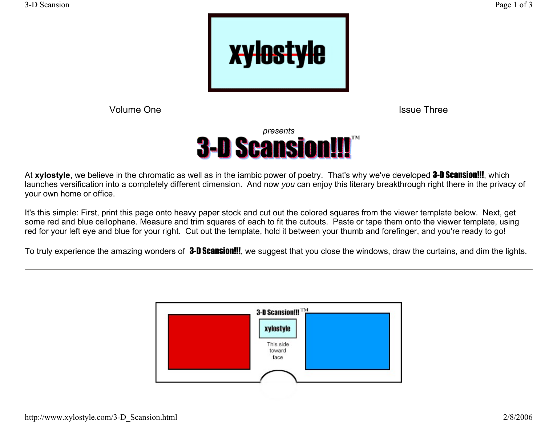

Volume One

Issue Three



At **xylostyle**, we believe in the chromatic as well as in the iambic power of poetry. That's why we've developed 3-D Scansion!!!, which launches versification into a completely different dimension. And now *you* can enjoy this literary breakthrough right there in the privacy of your own home or office.

It's this simple: First, print this page onto heavy paper stock and cut out the colored squares from the viewer template below. Next, get some red and blue cellophane. Measure and trim squares of each to fit the cutouts. Paste or tape them onto the viewer template, using red for your left eye and blue for your right. Cut out the template, hold it between your thumb and forefinger, and you're ready to go!

To truly experience the amazing wonders of **3-D Scansion!!!**, we suggest that you close the windows, draw the curtains, and dim the lights.